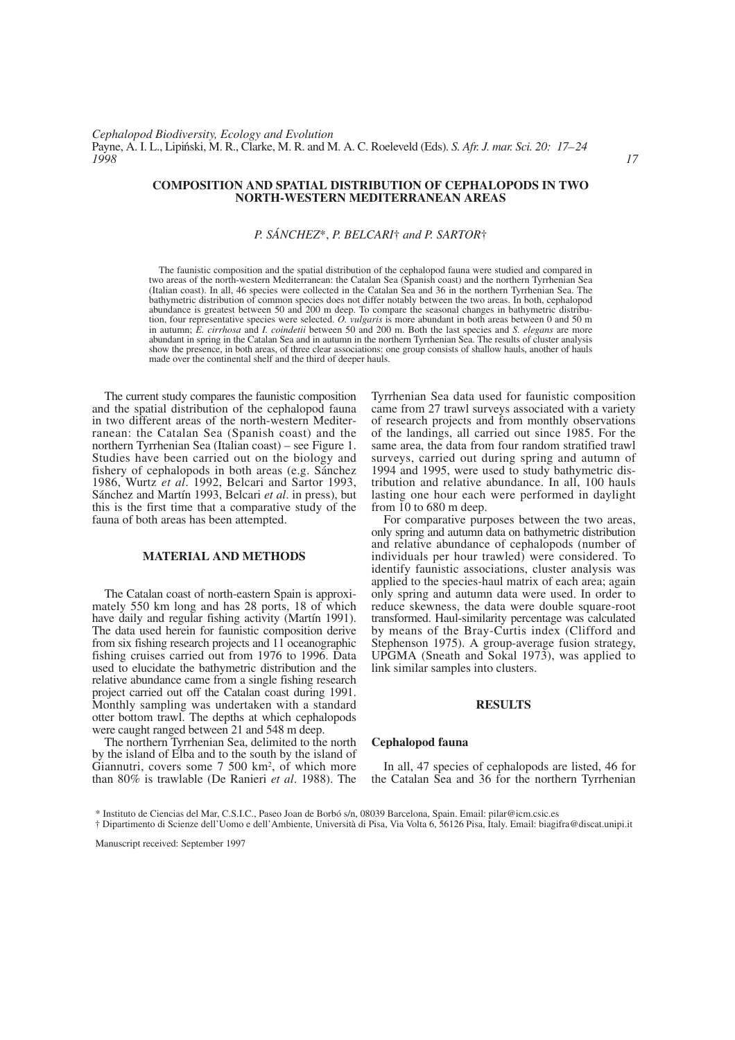*Cephalopod Biodiversity, Ecology and Evolution* Payne, A. I. L., Lipiński, M. R., Clarke, M. R. and M. A. C. Roeleveld (Eds). *S. Afr. J. mar. Sci. 20: 17–24*<br>1998 *1998 17*

### **COMPOSITION AND SPATIAL DISTRIBUTION OF CEPHALOPODS IN TWO NORTH-WESTERN MEDITERRANEAN AREAS**

## *P. SÁNCHEZ*\*, *P. BELCARI*† *and P. SARTOR*†

The faunistic composition and the spatial distribution of the cephalopod fauna were studied and compared in two areas of the north-western Mediterranean: the Catalan Sea (Spanish coast) and the northern Tyrrhenian Sea (Italian coast). In all, 46 species were collected in the Catalan Sea and 36 in the northern Tyrrhenian Sea. The bathymetric distribution of common species does not differ notably between the two areas. In both, cephalopod abundance is greatest between 50 and 200 m deep. To compare the seasonal changes in bathymetric distribution, four representative species were selected. *O. vulgaris* is more abundant in both areas between 0 and 50 m in autumn; *E. cirrhosa* and *I. coindetii* between 50 and 200 m. Both the last species and *S. elegans* are more abundant in spring in the Catalan Sea and in autumn in the northern Tyrrhenian Sea. The results of cluster analysis show the presence, in both areas, of three clear associations: one group consists of shallow hauls, another of hauls made over the continental shelf and the third of deeper hauls.

The current study compares the faunistic composition and the spatial distribution of the cephalopod fauna in two different areas of the north-western Mediterranean: the Catalan Sea (Spanish coast) and the northern Tyrrhenian Sea (Italian coast) – see Figure 1. Studies have been carried out on the biology and fishery of cephalopods in both areas (e.g. Sánchez 1986, Wurtz *et al*. 1992, Belcari and Sartor 1993, Sánchez and Martín 1993, Belcari *et al*. in press), but this is the first time that a comparative study of the fauna of both areas has been attempted.

#### **MATERIAL AND METHODS**

The Catalan coast of north-eastern Spain is approximately 550 km long and has 28 ports, 18 of which have daily and regular fishing activity (Martín 1991). The data used herein for faunistic composition derive from six fishing research projects and 11 oceanographic fishing cruises carried out from 1976 to 1996. Data used to elucidate the bathymetric distribution and the relative abundance came from a single fishing research project carried out off the Catalan coast during 1991. Monthly sampling was undertaken with a standard otter bottom trawl. The depths at which cephalopods were caught ranged between 21 and 548 m deep.

The northern Tyrrhenian Sea, delimited to the north by the island of Elba and to the south by the island of Giannutri, covers some 7 500 km2, of which more than 80% is trawlable (De Ranieri *et al*. 1988). The Tyrrhenian Sea data used for faunistic composition came from 27 trawl surveys associated with a variety of research projects and from monthly observations of the landings, all carried out since 1985. For the same area, the data from four random stratified trawl surveys, carried out during spring and autumn of 1994 and 1995, were used to study bathymetric distribution and relative abundance. In all, 100 hauls lasting one hour each were performed in daylight from 10 to 680 m deep.

For comparative purposes between the two areas, only spring and autumn data on bathymetric distribution and relative abundance of cephalopods (number of individuals per hour trawled) were considered. To identify faunistic associations, cluster analysis was applied to the species-haul matrix of each area; again only spring and autumn data were used. In order to reduce skewness, the data were double square-root transformed. Haul-similarity percentage was calculated by means of the Bray-Curtis index (Clifford and Stephenson 1975). A group-average fusion strategy, UPGMA (Sneath and Sokal 1973), was applied to link similar samples into clusters.

#### **RESULTS**

#### **Cephalopod fauna**

In all, 47 species of cephalopods are listed, 46 for the Catalan Sea and 36 for the northern Tyrrhenian

<sup>\*</sup> Instituto de Ciencias del Mar, C.S.I.C., Paseo Joan de Borbó s/n, 08039 Barcelona, Spain. Email: pilar@icm.csic.es † Dipartimento di Scienze dell'Uomo e dell'Ambiente, Università di Pisa, Via Volta 6, 56126 Pisa, Italy. Email: biagifra@discat.unipi.it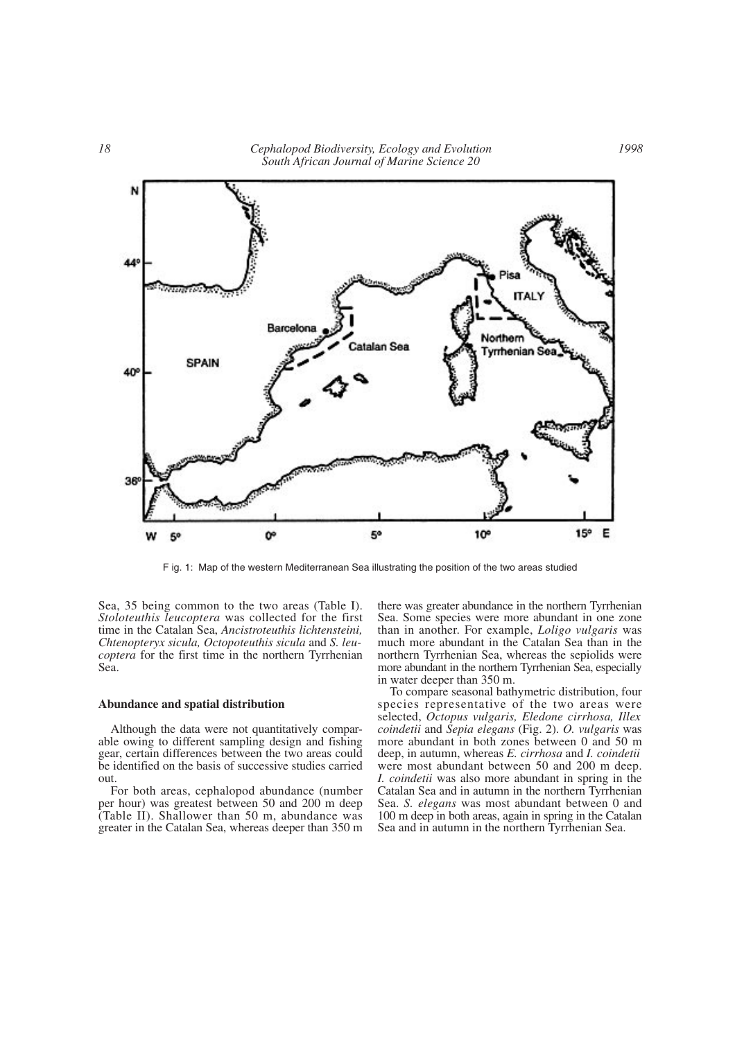

F ig. 1: Map of the western Mediterranean Sea illustrating the position of the two areas studied

Sea, 35 being common to the two areas (Table I). *Stoloteuthis leucoptera* was collected for the first time in the Catalan Sea, *Ancistroteuthis lichtensteini, Chtenopteryx sicula, Octopoteuthis sicula* and *S. leucoptera* for the first time in the northern Tyrrhenian Sea.

#### **Abundance and spatial distribution**

Although the data were not quantitatively comparable owing to different sampling design and fishing gear, certain differences between the two areas could be identified on the basis of successive studies carried out.

For both areas, cephalopod abundance (number per hour) was greatest between 50 and 200 m deep (Table II). Shallower than 50 m, abundance was greater in the Catalan Sea, whereas deeper than 350 m

there was greater abundance in the northern Tyrrhenian Sea. Some species were more abundant in one zone than in another. For example, *Loligo vulgaris* was much more abundant in the Catalan Sea than in the northern Tyrrhenian Sea, whereas the sepiolids were more abundant in the northern Tyrrhenian Sea, especially in water deeper than 350 m.

To compare seasonal bathymetric distribution, four species representative of the two areas were selected, *Octopus vulgaris, Eledone cirrhosa, Illex coindetii* and *Sepia elegans* (Fig. 2). *O. vulgaris* was more abundant in both zones between 0 and 50 m deep, in autumn, whereas *E. cirrhosa* and *I. coindetii* were most abundant between 50 and 200 m deep. *I. coindetii* was also more abundant in spring in the Catalan Sea and in autumn in the northern Tyrrhenian Sea. *S. elegans* was most abundant between 0 and 100 m deep in both areas, again in spring in the Catalan Sea and in autumn in the northern Tyrrhenian Sea.

*1998*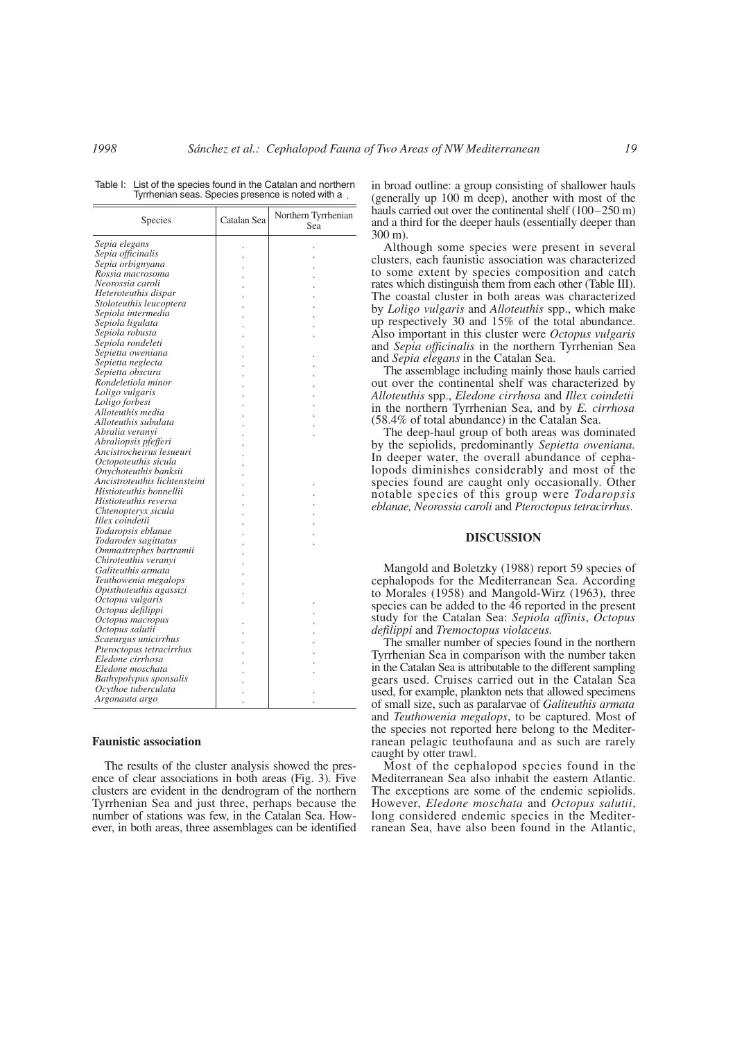| Table I: List of the species found in the Catalan and northern |
|----------------------------------------------------------------|
| Tyrrhenian seas. Species presence is noted with a              |

| <b>Species</b>                | Catalan Sea | Northern Tyrrhenian<br>Sea |
|-------------------------------|-------------|----------------------------|
| Sepia elegans                 |             |                            |
| Sepia officinalis             |             |                            |
| Sepia orbignyana              |             |                            |
| Rossia macrosoma              |             |                            |
| Neorossia caroli              |             |                            |
| Heteroteuthis dispar          |             |                            |
| Stoloteuthis leucoptera       |             |                            |
| Sepiola intermedia            |             |                            |
| Sepiola ligulata              |             |                            |
| Sepiola robusta               |             |                            |
| Sepiola rondeleti             |             |                            |
| Sepietta oweniana             |             |                            |
| Sepietta neglecta             |             |                            |
| Sepietta obscura              |             |                            |
| Rondeletiola minor            |             |                            |
| Loligo vulgaris               |             |                            |
| Loligo forbesi                |             |                            |
| Alloteuthis media             |             |                            |
| Alloteuthis subulata          |             |                            |
| Abralia veranyi               |             |                            |
| Abraliopsis pfefferi          |             |                            |
| Ancistrocheirus lesueuri      |             |                            |
| Octopoteuthis sicula          |             |                            |
| Onychoteuthis banksii         |             |                            |
| Ancistroteuthis lichtensteini |             |                            |
| Histioteuthis bonnellii       |             |                            |
| Histioteuthis reversa         |             |                            |
| Chtenopteryx sicula           |             |                            |
| Illex coindetii               |             |                            |
| Todaropsis eblanae            |             |                            |
| Todarodes sagittatus          |             |                            |
| Ommastrephes bartramii        |             |                            |
| Chiroteuthis veranvi          |             |                            |
| Galiteuthis armata            |             |                            |
| Teuthowenia megalops          |             |                            |
| Opisthoteuthis agassizi       |             |                            |
| Octopus vulgaris              |             |                            |
| Octopus defilippi             |             |                            |
| Octopus macropus              |             |                            |
| Octopus salutii               |             |                            |
| Scaeurgus unicirrhus          |             |                            |
| Pteroctopus tetracirrhus      |             |                            |
| Eledone cirrhosa              |             |                            |
| Eledone moschata              |             |                            |
| Bathypolypus sponsalis        |             |                            |
| Ocythoe tuberculata           |             |                            |
| Argonauta argo                |             |                            |

#### **Faunistic association**

The results of the cluster analysis showed the presence of clear associations in both areas (Fig. 3). Five clusters are evident in the dendrogram of the northern Tyrrhenian Sea and just three, perhaps because the number of stations was few, in the Catalan Sea. However, in both areas, three assemblages can be identified in broad outline: a group consisting of shallower hauls (generally up 100 m deep), another with most of the hauls carried out over the continental shelf (100–250 m) and a third for the deeper hauls (essentially deeper than 300 m).

Although some species were present in several clusters, each faunistic association was characterized to some extent by species composition and catch rates which distinguish them from each other (Table III). The coastal cluster in both areas was characterized by *Loligo vulgaris* and *Alloteuthis* spp., which make up respectively 30 and 15% of the total abundance. Also important in this cluster were *Octopus vulgaris* and *Sepia officinalis* in the northern Tyrrhenian Sea and *Sepia elegans* in the Catalan Sea.

The assemblage including mainly those hauls carried out over the continental shelf was characterized by *Alloteuthis* spp., *Eledone cirrhosa* and *Illex coindetii* in the northern Tyrrhenian Sea, and by *E. cirrhosa* (58.4% of total abundance) in the Catalan Sea.

The deep-haul group of both areas was dominated by the sepiolids, predominantly *Sepietta oweniana.* In deeper water, the overall abundance of cephalopods diminishes considerably and most of the species found are caught only occasionally. Other notable species of this group were *Todaropsis eblanae, Neorossia caroli* and *Pteroctopus tetracirrhus*.

### **DISCUSSION**

Mangold and Boletzky (1988) report 59 species of cephalopods for the Mediterranean Sea. According to Morales (1958) and Mangold-Wirz (1963), three species can be added to the 46 reported in the present study for the Catalan Sea: *Sepiola affinis*, *Octopus defilippi* and *Tremoctopus violaceus.*

The smaller number of species found in the northern Tyrrhenian Sea in comparison with the number taken in the Catalan Sea is attributable to the different sampling gears used. Cruises carried out in the Catalan Sea used, for example, plankton nets that allowed specimens of small size, such as paralarvae of *Galiteuthis armata* and *Teuthowenia megalops*, to be captured. Most of the species not reported here belong to the Mediterranean pelagic teuthofauna and as such are rarely caught by otter trawl.

Most of the cephalopod species found in the Mediterranean Sea also inhabit the eastern Atlantic. The exceptions are some of the endemic sepiolids. However, *Eledone moschata* and *Octopus salutii*, long considered endemic species in the Mediterranean Sea, have also been found in the Atlantic,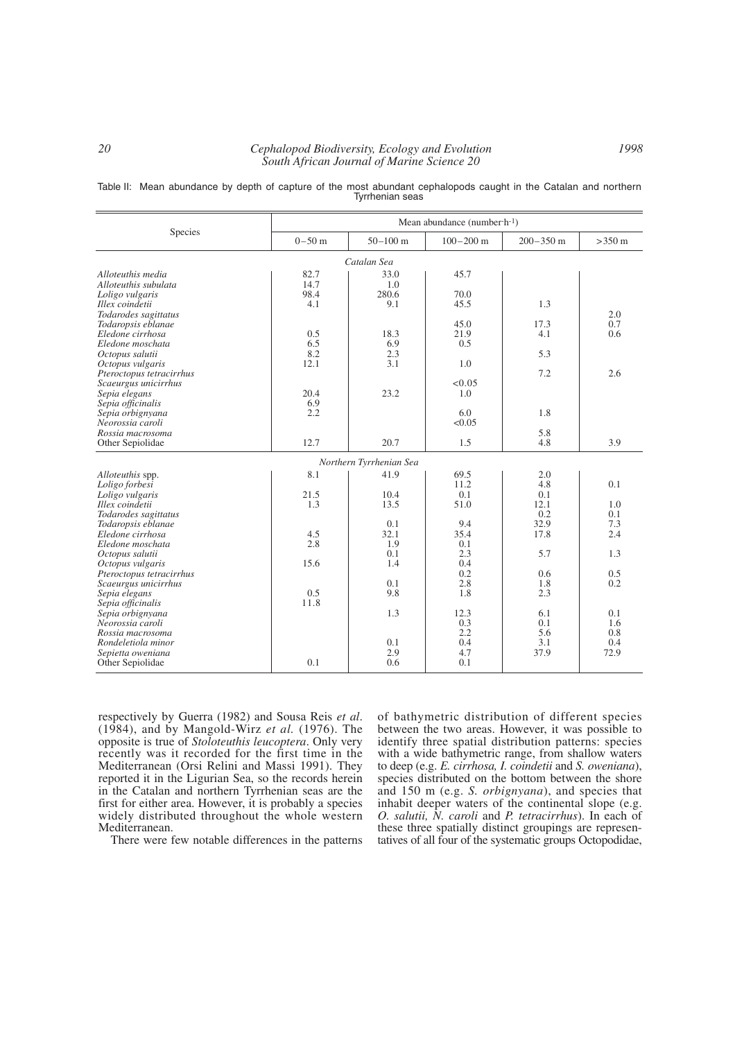## *20 Cephalopod Biodiversity, Ecology and Evolution South African Journal of Marine Science 20*

Table II: Mean abundance by depth of capture of the most abundant cephalopods caught in the Catalan and northern Tyrrhenian seas

|                                            | Mean abundance (number $\cdot$ h $\cdot$ 1) |                         |               |               |                  |  |  |  |
|--------------------------------------------|---------------------------------------------|-------------------------|---------------|---------------|------------------|--|--|--|
| Species                                    | $0 - 50$ m                                  | $50 - 100$ m            | $100 - 200$ m | $200 - 350$ m | $>350 \text{ m}$ |  |  |  |
| Catalan Sea                                |                                             |                         |               |               |                  |  |  |  |
| Alloteuthis media                          | 82.7                                        | 33.0                    | 45.7          |               |                  |  |  |  |
| Alloteuthis subulata                       | 14.7                                        | 1.0                     |               |               |                  |  |  |  |
| Loligo vulgaris                            | 98.4                                        | 280.6                   | 70.0          |               |                  |  |  |  |
| Illex coindetii                            | 4.1                                         | 9.1                     | 45.5          | 1.3           | 2.0              |  |  |  |
| Todarodes sagittatus<br>Todaropsis eblanae |                                             |                         | 45.0          | 17.3          | 0.7              |  |  |  |
| Eledone cirrhosa                           | 0.5                                         | 18.3                    | 21.9          | 4.1           | 0.6              |  |  |  |
| Eledone moschata                           | 6.5                                         | 6.9                     | 0.5           |               |                  |  |  |  |
| Octopus salutii                            | 8.2                                         | 2.3                     |               | 5.3           |                  |  |  |  |
| Octopus vulgaris                           | 12.1                                        | 3.1                     | 1.0           |               |                  |  |  |  |
| Pteroctopus tetracirrhus                   |                                             |                         |               | 7.2           | 2.6              |  |  |  |
| Scaeurgus unicirrhus                       |                                             |                         | < 0.05        |               |                  |  |  |  |
| Sepia elegans                              | 20.4                                        | 23.2                    | 1.0           |               |                  |  |  |  |
| Sepia officinalis                          | 6.9                                         |                         |               |               |                  |  |  |  |
| Sepia orbignyana                           | 2.2                                         |                         | 6.0           | 1.8           |                  |  |  |  |
| Neorossia caroli                           |                                             |                         | < 0.05        |               |                  |  |  |  |
| Rossia macrosoma                           | 12.7                                        | 20.7                    | 1.5           | 5.8<br>4.8    | 3.9              |  |  |  |
| Other Sepiolidae                           |                                             |                         |               |               |                  |  |  |  |
|                                            |                                             | Northern Tyrrhenian Sea |               |               |                  |  |  |  |
| Alloteuthis spp.                           | 8.1                                         | 41.9                    | 69.5          | 2.0           |                  |  |  |  |
| Loligo forbesi                             |                                             |                         | 11.2          | 4.8           | 0.1              |  |  |  |
| Loligo vulgaris                            | 21.5                                        | 10.4                    | 0.1           | 0.1           |                  |  |  |  |
| Illex coindetii                            | 1.3                                         | 13.5                    | 51.0          | 12.1          | 1.0              |  |  |  |
| Todarodes sagittatus                       |                                             |                         |               | 0.2           | 0.1              |  |  |  |
| Todaropsis eblanae                         |                                             | 0.1                     | 9.4           | 32.9          | 7.3              |  |  |  |
| Eledone cirrhosa                           | 4.5<br>2.8                                  | 32.1                    | 35.4          | 17.8          | 2.4              |  |  |  |
| Eledone moschata<br>Octopus salutii        |                                             | 1.9<br>0.1              | 0.1<br>2.3    | 5.7           | 1.3              |  |  |  |
| Octopus vulgaris                           | 15.6                                        | 1.4                     | 0.4           |               |                  |  |  |  |
| Pteroctopus tetracirrhus                   |                                             |                         | 0.2           | 0.6           | 0.5              |  |  |  |
| Scaeurgus unicirrhus                       |                                             | 0.1                     | 2.8           | 1.8           | 0.2              |  |  |  |
| Sepia elegans                              | 0.5                                         | 9.8                     | 1.8           | 2.3           |                  |  |  |  |
| Sepia officinalis                          | 11.8                                        |                         |               |               |                  |  |  |  |
| Sepia orbignyana                           |                                             | 1.3                     | 12.3          | 6.1           | 0.1              |  |  |  |
| Neorossia caroli                           |                                             |                         | 0.3           | 0.1           | 1.6              |  |  |  |
| Rossia macrosoma                           |                                             |                         | 2.2           | 5.6           | 0.8              |  |  |  |
| Rondeletiola minor                         |                                             | 0.1                     | 0.4           | 3.1           | 0.4              |  |  |  |
| Sepietta oweniana                          |                                             | 2.9                     | 4.7           | 37.9          | 72.9             |  |  |  |
| Other Sepiolidae                           | 0.1                                         | 0.6                     | 0.1           |               |                  |  |  |  |

respectively by Guerra (1982) and Sousa Reis *et al*. (1984), and by Mangold-Wirz *et al.* (1976). The opposite is true of *Stoloteuthis leucoptera*. Only very recently was it recorded for the first time in the Mediterranean (Orsi Relini and Massi 1991). They reported it in the Ligurian Sea, so the records herein in the Catalan and northern Tyrrhenian seas are the first for either area. However, it is probably a species widely distributed throughout the whole western Mediterranean.

There were few notable differences in the patterns

of bathymetric distribution of different species between the two areas. However, it was possible to identify three spatial distribution patterns: species with a wide bathymetric range, from shallow waters to deep (e.g. *E. cirrhosa, I. coindetii* and *S. oweniana*), species distributed on the bottom between the shore and 150 m (e.g. *S. orbignyana*), and species that inhabit deeper waters of the continental slope (e.g. *O. salutii, N. caroli* and *P. tetracirrhus*). In each of these three spatially distinct groupings are representatives of all four of the systematic groups Octopodidae,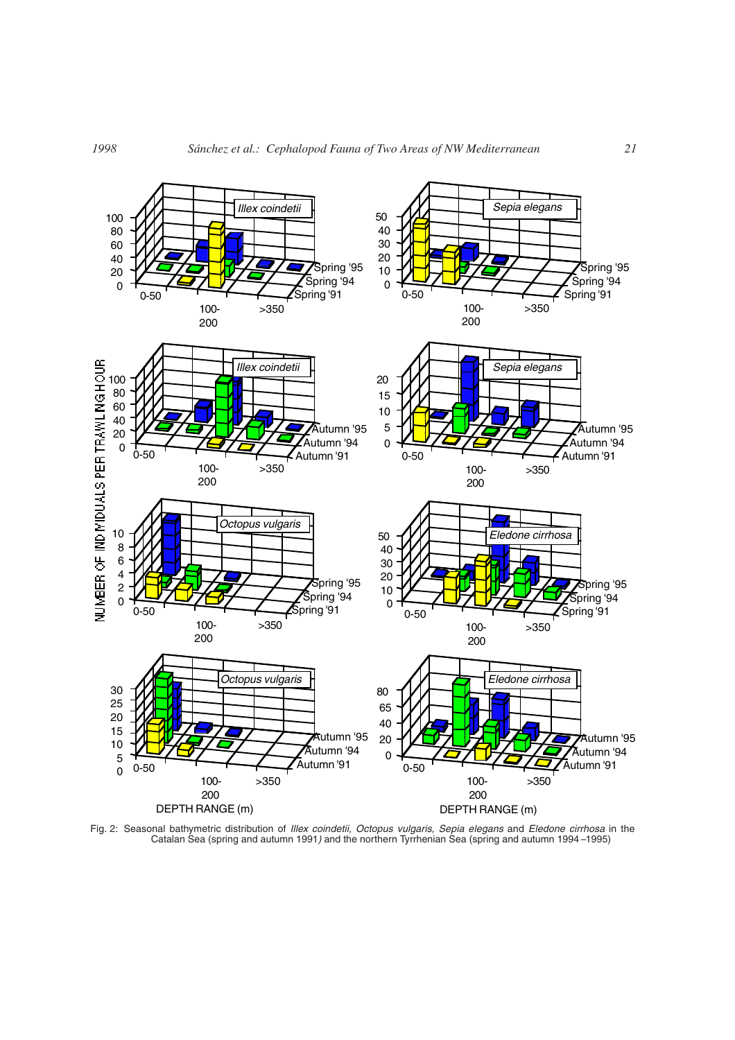

Fig. 2: Seasonal bathymetric distribution of *Illex coindetii, Octopus vulgaris, Sepia elegans* and *Eledone cirrhosa* in the Catalan Sea (spring and autumn 1991*)* and the northern Tyrrhenian Sea (spring and autumn 1994*–*1995)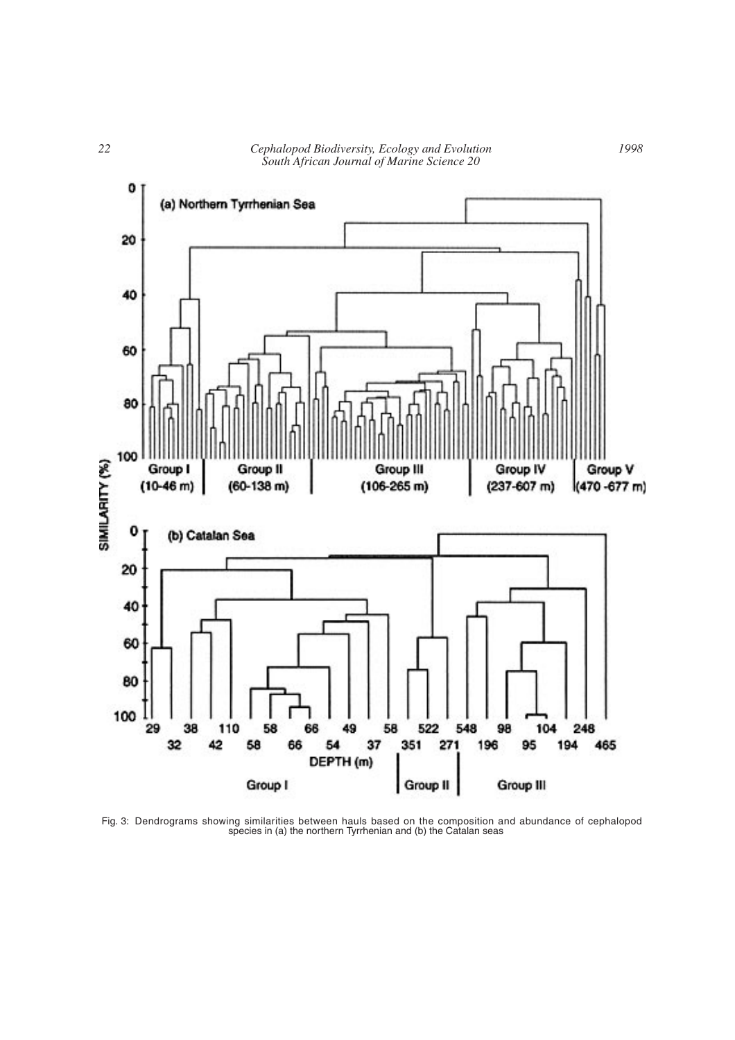



Fig. 3: Dendrograms showing similarities between hauls based on the composition and abundance of cephalopod species in (a) the northern Tyrrhenian and (b) the Catalan seas

*1998*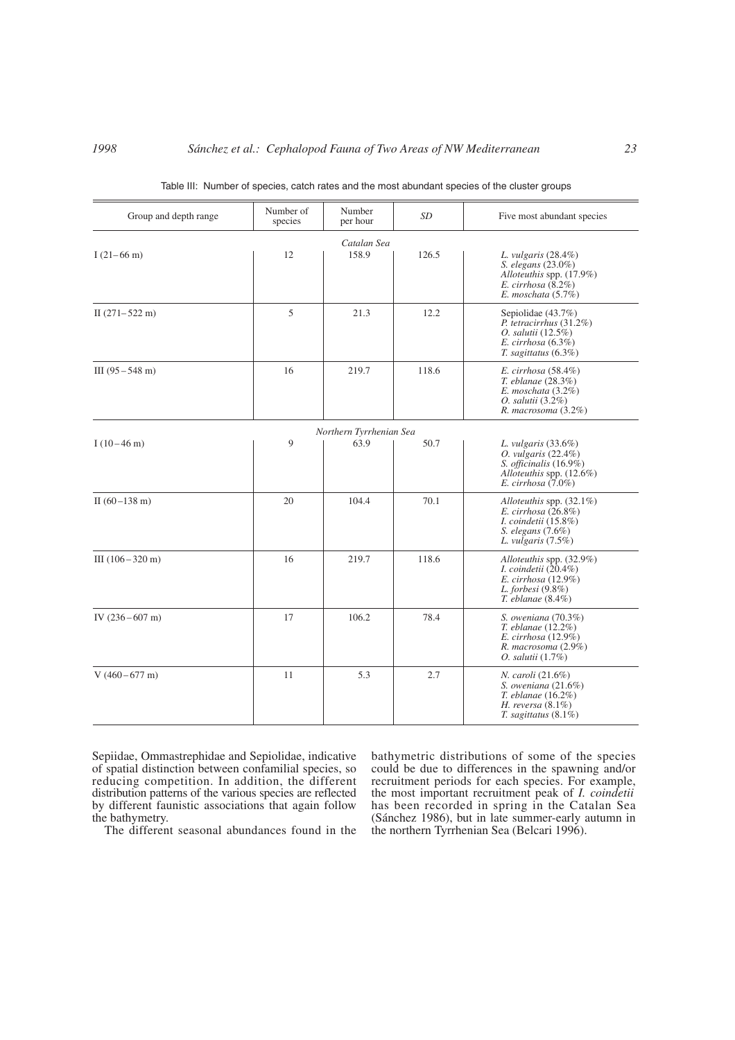| Group and depth range      | Number of<br>species | Number<br>per hour      | SD    | Five most abundant species                                                                                                                  |
|----------------------------|----------------------|-------------------------|-------|---------------------------------------------------------------------------------------------------------------------------------------------|
|                            |                      | Catalan Sea             |       |                                                                                                                                             |
| $I(21-66 \text{ m})$       | 12                   | 158.9                   | 126.5 | L. vulgaris $(28.4\%)$<br><i>S. elegans</i> (23.0%)<br>Alloteuthis spp. (17.9%)<br>E. cirrhosa $(8.2\%)$<br>E. moschata $(5.7\%)$           |
| II $(271-522 \text{ m})$   | 5                    | 21.3                    | 12.2  | Sepiolidae $(43.7\%)$<br>P. tetracirrhus $(31.2\%)$<br><i>O. salutii</i> $(12.5\%)$<br>$E.$ cirrhosa $(6.3\%)$<br>$T.$ sagittatus $(6.3\%)$ |
| III $(95 - 548 \text{ m})$ | 16                   | 219.7                   | 118.6 | E. cirrhosa $(58.4\%)$<br>T. eblanae (28.3%)<br>E. moschata $(3.2\%)$<br><i>O. salutii</i> (3.2%)<br>R. macrosoma (3.2%)                    |
|                            |                      | Northern Tyrrhenian Sea |       |                                                                                                                                             |
| $I(10-46 \text{ m})$       | 9                    | 63.9                    | 50.7  | L. vulgaris $(33.6\%)$<br>$O.$ vulgaris $(22.4\%)$<br>S. officinalis $(16.9\%)$<br>Alloteuthis spp. $(12.6\%)$<br>E. cirrhosa $(7.0\%)$     |
| II $(60-138 \text{ m})$    | 20                   | 104.4                   | 70.1  | Alloteuthis spp. $(32.1\%)$<br>E. cirrhosa $(26.8\%)$<br><i>I. coindetii</i> (15.8%)<br>S. elegans $(7.6\%)$<br>L. vulgaris $(7.5\%)$       |
| $III(106-320 m)$           | 16                   | 219.7                   | 118.6 | Alloteuthis spp. (32.9%)<br>I. coindetii $(20.4\%)$<br>E. cirrhosa $(12.9\%)$<br>L. forbesi $(9.8\%)$<br>$T.$ eblanae $(8.4\%)$             |
| IV $(236 - 607 \text{ m})$ | 17                   | 106.2                   | 78.4  | S. oweniana (70.3%)<br>T. eblanae (12.2%)<br>$E.$ cirrhosa $(12.9\%)$<br>R. macrosoma (2.9%)<br><i>O. salutii</i> (1.7%)                    |
| $V(460-677 \text{ m})$     | 11                   | 5.3                     | 2.7   | <i>N. caroli</i> (21.6%)<br>S. oweniana $(21.6\%)$<br>$T.$ eblanae $(16.2\%)$<br>H. reversa $(8.1\%)$<br>$T.$ sagittatus $(8.1\%)$          |

|  | Table III: Number of species, catch rates and the most abundant species of the cluster groups |  |  |  |  |  |
|--|-----------------------------------------------------------------------------------------------|--|--|--|--|--|
|  |                                                                                               |  |  |  |  |  |

Sepiidae, Ommastrephidae and Sepiolidae, indicative of spatial distinction between confamilial species, so reducing competition. In addition, the different distribution patterns of the various species are reflected by different faunistic associations that again follow the bathymetry.

The different seasonal abundances found in the

bathymetric distributions of some of the species could be due to differences in the spawning and/or recruitment periods for each species. For example, the most important recruitment peak of *I. coindetii* has been recorded in spring in the Catalan Sea (Sánchez 1986), but in late summer-early autumn in the northern Tyrrhenian Sea (Belcari 1996).